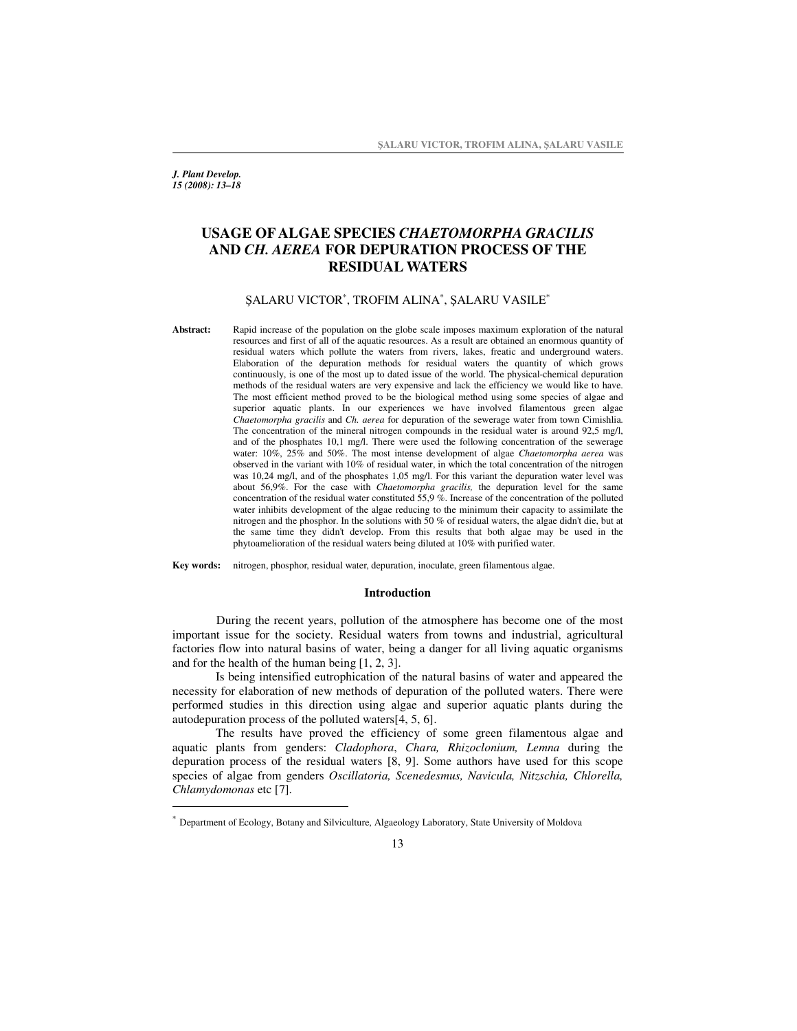*J. Plant Develop. 15 (2008): 13–18*

# **USAGE OF ALGAE SPECIES** *CHAETOMORPHA GRACILIS* **AND** *CH. AEREA* **FOR DEPURATION PROCESS OF THE RESIDUAL WATERS**

## ŞALARU VICTOR<sup>\*</sup>, TROFIM ALINA<sup>\*</sup>, ŞALARU VASILE<sup>\*</sup>

**Abstract:** Rapid increase of the population on the globe scale imposes maximum exploration of the natural resources and first of all of the aquatic resources. As a result are obtained an enormous quantity of residual waters which pollute the waters from rivers, lakes, freatic and underground waters. Elaboration of the depuration methods for residual waters the quantity of which grows continuously, is one of the most up to dated issue of the world. The physical-chemical depuration methods of the residual waters are very expensive and lack the efficiency we would like to have. The most efficient method proved to be the biological method using some species of algae and superior aquatic plants. In our experiences we have involved filamentous green algae *Chaetomorpha gracilis* and *Ch. aerea* for depuration of the sewerage water from town Cimishlia. The concentration of the mineral nitrogen compounds in the residual water is around 92,5 mg/l, and of the phosphates 10,1 mg/l. There were used the following concentration of the sewerage water: 10%, 25% and 50%. The most intense development of algae *Chaetomorpha aerea* was observed in the variant with 10% of residual water, in which the total concentration of the nitrogen was 10,24 mg/l, and of the phosphates 1,05 mg/l. For this variant the depuration water level was about 56,9%. For the case with *Chaetomorpha gracilis,* the depuration level for the same concentration of the residual water constituted 55,9 %. Increase of the concentration of the polluted water inhibits development of the algae reducing to the minimum their capacity to assimilate the nitrogen and the phosphor. In the solutions with 50 % of residual waters, the algae didn't die, but at the same time they didn't develop. From this results that both algae may be used in the phytoamelioration of the residual waters being diluted at 10% with purified water.

**Key words:** nitrogen, phosphor, residual water, depuration, inoculate, green filamentous algae.

#### **Introduction**

During the recent years, pollution of the atmosphere has become one of the most important issue for the society. Residual waters from towns and industrial, agricultural factories flow into natural basins of water, being a danger for all living aquatic organisms and for the health of the human being [1, 2, 3].

Is being intensified eutrophication of the natural basins of water and appeared the necessity for elaboration of new methods of depuration of the polluted waters. There were performed studies in this direction using algae and superior aquatic plants during the autodepuration process of the polluted waters[4, 5, 6].

The results have proved the efficiency of some green filamentous algae and aquatic plants from genders: *Cladophora*, *Chara, Rhizoclonium, Lemna* during the depuration process of the residual waters [8, 9]. Some authors have used for this scope species of algae from genders *Oscillatoria, Scenedesmus, Navicula, Nitzschia, Chlorella, Chlamydomonas* etc [7]*.*

<sup>∗</sup> Department of Ecology, Botany and Silviculture, Algaeology Laboratory, State University of Moldova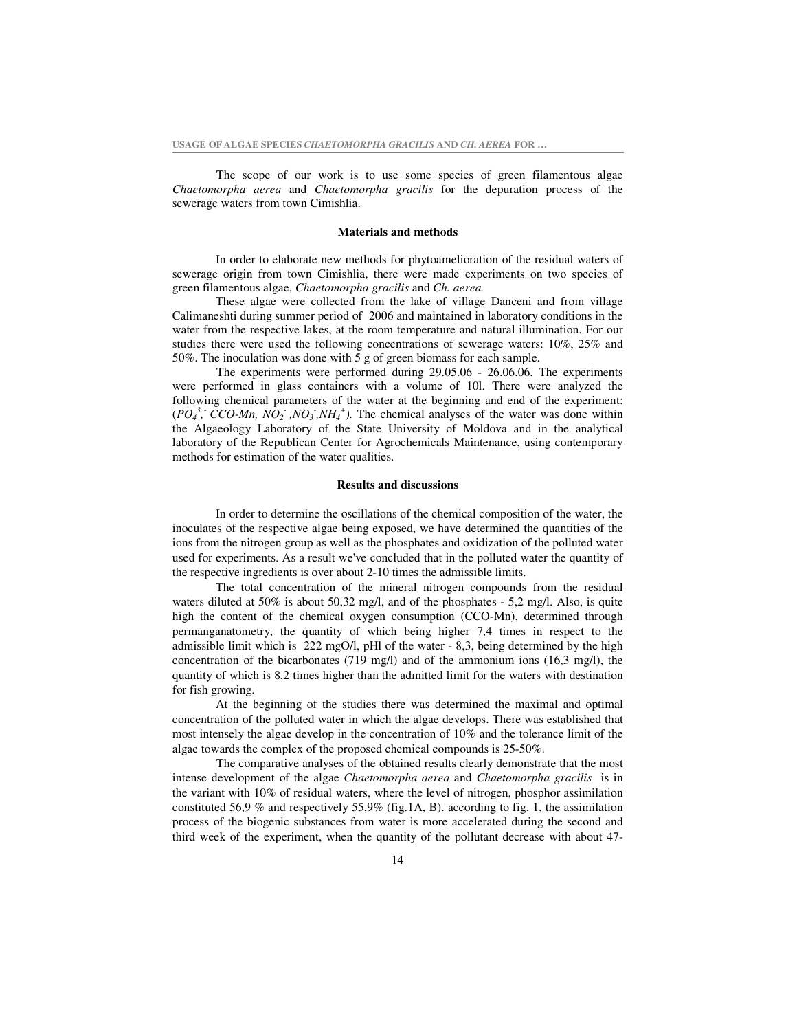The scope of our work is to use some species of green filamentous algae *Chaetomorpha aerea* and *Chaetomorpha gracilis* for the depuration process of the sewerage waters from town Cimishlia.

#### **Materials and methods**

In order to elaborate new methods for phytoamelioration of the residual waters of sewerage origin from town Cimishlia, there were made experiments on two species of green filamentous algae, *Chaetomorpha gracilis* and *Ch. aerea.*

These algae were collected from the lake of village Danceni and from village Calimaneshti during summer period of 2006 and maintained in laboratory conditions in the water from the respective lakes, at the room temperature and natural illumination. For our studies there were used the following concentrations of sewerage waters: 10%, 25% and 50%. The inoculation was done with 5 g of green biomass for each sample.

The experiments were performed during 29.05.06 - 26.06.06. The experiments were performed in glass containers with a volume of 10l. There were analyzed the following chemical parameters of the water at the beginning and end of the experiment:  $(PO_4^3, CCO-Mn, NO_2, NO_3, NH_4^+)$ . The chemical analyses of the water was done within the Algaeology Laboratory of the State University of Moldova and in the analytical laboratory of the Republican Center for Agrochemicals Maintenance, using contemporary methods for estimation of the water qualities.

## **Results and discussions**

In order to determine the oscillations of the chemical composition of the water, the inoculates of the respective algae being exposed, we have determined the quantities of the ions from the nitrogen group as well as the phosphates and oxidization of the polluted water used for experiments. As a result we've concluded that in the polluted water the quantity of the respective ingredients is over about 2-10 times the admissible limits.

The total concentration of the mineral nitrogen compounds from the residual waters diluted at 50% is about 50,32 mg/l, and of the phosphates - 5,2 mg/l. Also, is quite high the content of the chemical oxygen consumption (CCO-Mn), determined through permanganatometry, the quantity of which being higher 7,4 times in respect to the admissible limit which is 222 mgO/l, pHl of the water - 8,3, being determined by the high concentration of the bicarbonates (719 mg/l) and of the ammonium ions (16,3 mg/l), the quantity of which is 8,2 times higher than the admitted limit for the waters with destination for fish growing.

At the beginning of the studies there was determined the maximal and optimal concentration of the polluted water in which the algae develops. There was established that most intensely the algae develop in the concentration of 10% and the tolerance limit of the algae towards the complex of the proposed chemical compounds is 25-50%.

The comparative analyses of the obtained results clearly demonstrate that the most intense development of the algae *Chaetomorpha aerea* and *Chaetomorpha gracilis* is in the variant with 10% of residual waters, where the level of nitrogen, phosphor assimilation constituted 56,9 % and respectively 55,9% (fig.1A, B). according to fig. 1, the assimilation process of the biogenic substances from water is more accelerated during the second and third week of the experiment, when the quantity of the pollutant decrease with about 47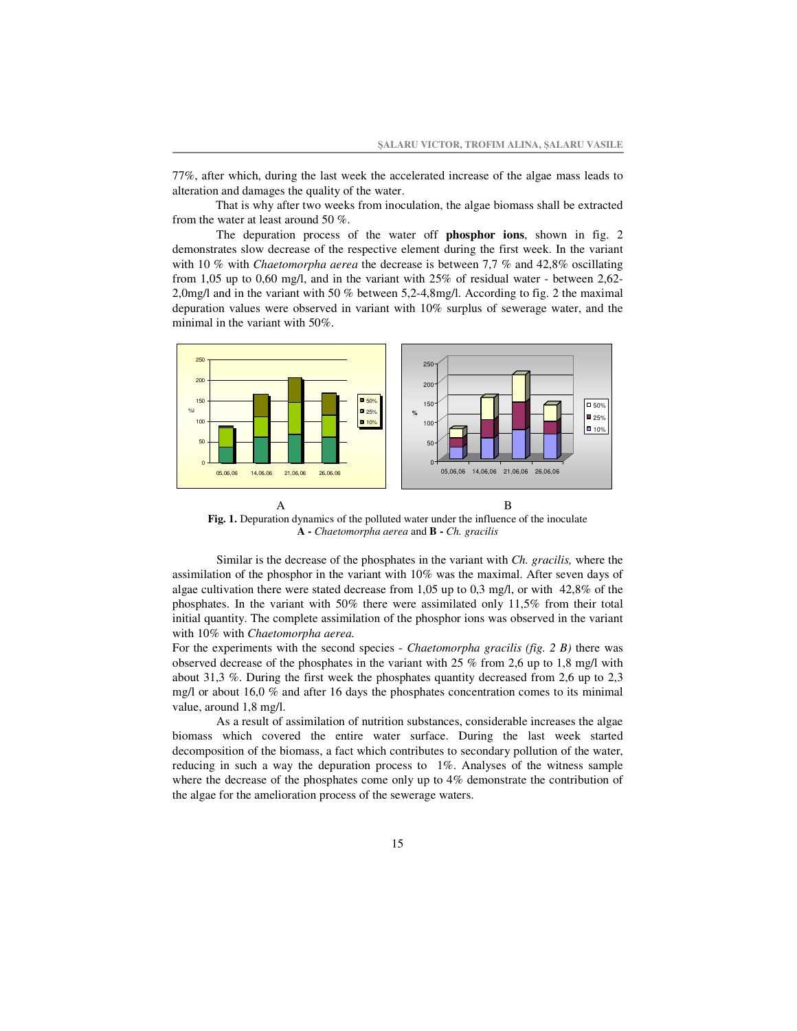77%, after which, during the last week the accelerated increase of the algae mass leads to alteration and damages the quality of the water.

That is why after two weeks from inoculation, the algae biomass shall be extracted from the water at least around 50 %.

The depuration process of the water off **phosphor ions**, shown in fig. 2 demonstrates slow decrease of the respective element during the first week. In the variant with 10 % with *Chaetomorpha aerea* the decrease is between 7,7 % and 42,8% oscillating from 1,05 up to 0,60 mg/l, and in the variant with 25% of residual water - between 2,62- 2,0mg/l and in the variant with 50 % between 5,2-4,8mg/l. According to fig. 2 the maximal depuration values were observed in variant with 10% surplus of sewerage water, and the minimal in the variant with 50%.



**Fig. 1.** Depuration dynamics of the polluted water under the influence of the inoculate **A -** *Chaetomorpha aerea* and **B -** *Ch. gracilis*

Similar is the decrease of the phosphates in the variant with *Ch. gracilis,* where the assimilation of the phosphor in the variant with 10% was the maximal. After seven days of algae cultivation there were stated decrease from 1,05 up to 0,3 mg/l, or with 42,8% of the phosphates. In the variant with 50% there were assimilated only 11,5% from their total initial quantity. The complete assimilation of the phosphor ions was observed in the variant with 10% with *Chaetomorpha aerea.*

For the experiments with the second species - *Chaetomorpha gracilis (fig. 2 B)* there was observed decrease of the phosphates in the variant with 25 % from 2,6 up to 1,8 mg/l with about 31,3 %. During the first week the phosphates quantity decreased from 2,6 up to 2,3 mg/l or about 16,0 % and after 16 days the phosphates concentration comes to its minimal value, around 1,8 mg/l.

As a result of assimilation of nutrition substances, considerable increases the algae biomass which covered the entire water surface. During the last week started decomposition of the biomass, a fact which contributes to secondary pollution of the water, reducing in such a way the depuration process to 1%. Analyses of the witness sample where the decrease of the phosphates come only up to  $4\%$  demonstrate the contribution of the algae for the amelioration process of the sewerage waters.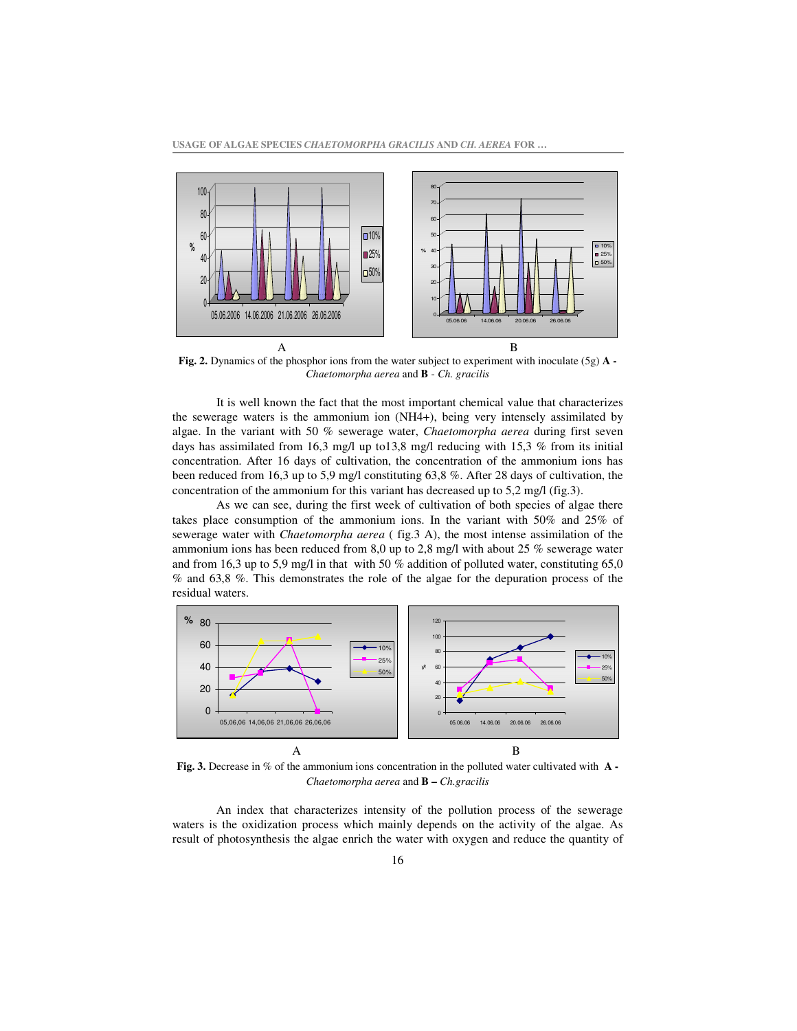

**Fig. 2.** Dynamics of the phosphor ions from the water subject to experiment with inoculate (5g) **A -** *Chaetomorpha aerea* and **B** - *Ch. gracilis*

It is well known the fact that the most important chemical value that characterizes the sewerage waters is the ammonium ion (NH4+), being very intensely assimilated by algae. In the variant with 50 % sewerage water, *Chaetomorpha aerea* during first seven days has assimilated from 16.3 mg/l up to 13.8 mg/l reducing with 15.3 % from its initial concentration. After 16 days of cultivation, the concentration of the ammonium ions has been reduced from 16,3 up to 5,9 mg/l constituting 63,8 %. After 28 days of cultivation, the concentration of the ammonium for this variant has decreased up to 5,2 mg/l (fig.3).

As we can see, during the first week of cultivation of both species of algae there takes place consumption of the ammonium ions. In the variant with 50% and 25% of sewerage water with *Chaetomorpha aerea* ( fig.3 A), the most intense assimilation of the ammonium ions has been reduced from 8,0 up to 2,8 mg/l with about 25 % sewerage water and from 16,3 up to 5,9 mg/l in that with 50  $%$  addition of polluted water, constituting 65,0 % and 63,8 %. This demonstrates the role of the algae for the depuration process of the residual waters.



**Fig. 3.** Decrease in % of the ammonium ions concentration in the polluted water cultivated with **A -** *Chaetomorpha aerea* and **B –** *Ch.gracilis*

An index that characterizes intensity of the pollution process of the sewerage waters is the oxidization process which mainly depends on the activity of the algae. As result of photosynthesis the algae enrich the water with oxygen and reduce the quantity of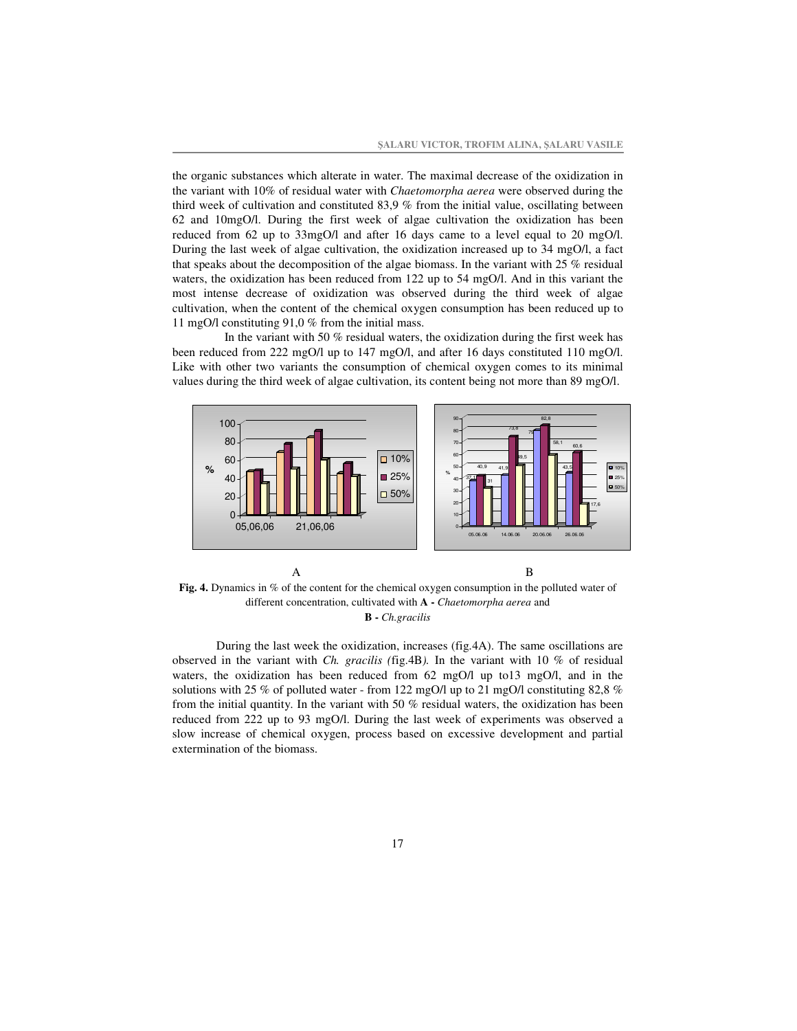the organic substances which alterate in water. The maximal decrease of the oxidization in the variant with 10% of residual water with *Chaetomorpha aerea* were observed during the third week of cultivation and constituted 83,9 % from the initial value, oscillating between 62 and 10mgO/l. During the first week of algae cultivation the oxidization has been reduced from 62 up to 33mgO/l and after 16 days came to a level equal to 20 mgO/l. During the last week of algae cultivation, the oxidization increased up to 34 mgO/l, a fact that speaks about the decomposition of the algae biomass. In the variant with 25  $\%$  residual waters, the oxidization has been reduced from 122 up to 54 mgO/l. And in this variant the most intense decrease of oxidization was observed during the third week of algae cultivation, when the content of the chemical oxygen consumption has been reduced up to 11 mgO/l constituting 91,0 % from the initial mass.

In the variant with 50 % residual waters, the oxidization during the first week has been reduced from 222 mgO/l up to 147 mgO/l, and after 16 days constituted 110 mgO/l. Like with other two variants the consumption of chemical oxygen comes to its minimal values during the third week of algae cultivation, its content being not more than 89 mgO/l.



**Fig. 4.** Dynamics in % of the content for the chemical oxygen consumption in the polluted water of different concentration, cultivated with **A -** *Chaetomorpha aerea* and **B -** *Ch.gracilis*

During the last week the oxidization, increases (fig.4A). The same oscillations are observed in the variant with *Ch. gracilis (*fig.4B*).* In the variant with 10 % of residual waters, the oxidization has been reduced from 62 mgO/l up to13 mgO/l, and in the solutions with 25 % of polluted water - from 122 mgO/l up to 21 mgO/l constituting 82,8 % from the initial quantity. In the variant with 50 % residual waters, the oxidization has been reduced from 222 up to 93 mgO/l. During the last week of experiments was observed a slow increase of chemical oxygen, process based on excessive development and partial extermination of the biomass.